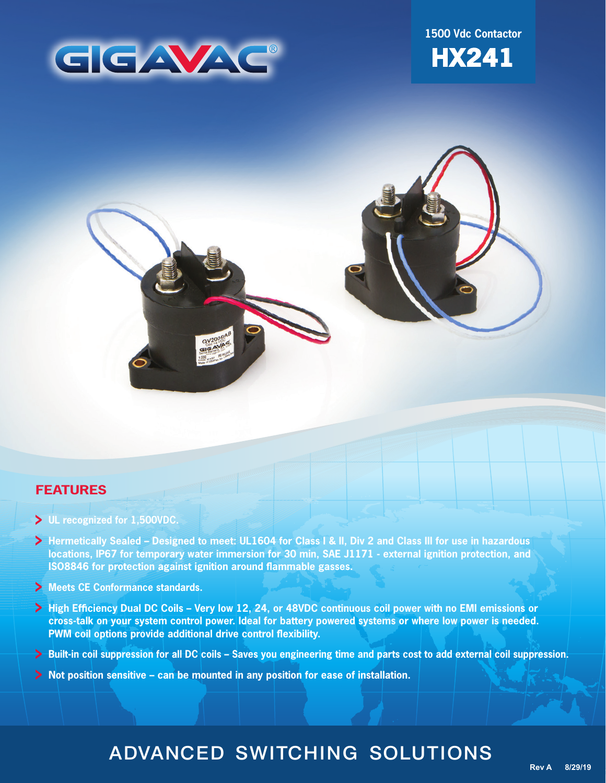

**1500 Vdc Contactor**



### **FEATURES**

- **UL recognized for 1,500VDC.**
- **Hermetically Sealed Designed to meet: UL1604 for Class I & II, Div 2 and Class III for use in hazardous locations, IP67 for temporary water immersion for 30 min, SAE J1171 - external ignition protection, and ISO8846 for protection against ignition around flammable gasses.**
- **Meets CE Conformance standards.**
- **High Efficiency Dual DC Coils Very low 12, 24, or 48VDC continuous coil power with no EMI emissions or cross-talk on your system control power. Ideal for battery powered systems or where low power is needed. PWM coil options provide additional drive control flexibility.**
- **Built-in coil suppression for all DC coils Saves you engineering time and parts cost to add external coil suppression.**
- **Not position sensitive can be mounted in any position for ease of installation.**

# ADVANCED SWITCHING SOLUTIONS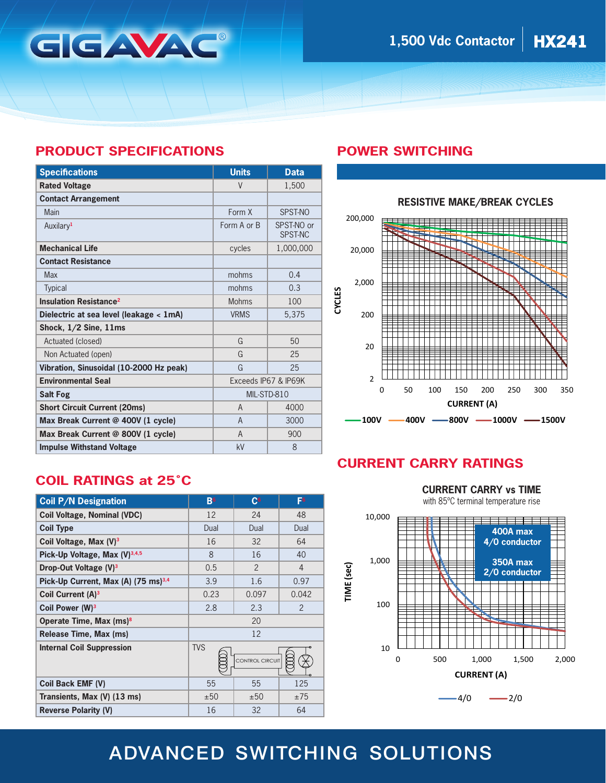## **PRODUCT SPECIFICATIONS**

GGAVAC

| <b>Specifications</b>                    | <b>Units</b>         | <b>Data</b>                  |
|------------------------------------------|----------------------|------------------------------|
| <b>Rated Voltage</b>                     | $\vee$               | 1,500                        |
| <b>Contact Arrangement</b>               |                      |                              |
| Main                                     | Form X               | SPST-NO                      |
| Auxilary <sup>1</sup>                    | Form A or B          | SPST-NO or<br><b>SPST-NC</b> |
| <b>Mechanical Life</b>                   | cycles               | 1,000,000                    |
| <b>Contact Resistance</b>                |                      |                              |
| <b>Max</b>                               | mohms                | 0.4                          |
| <b>Typical</b>                           | mohms                | 0.3                          |
| <b>Insulation Resistance<sup>2</sup></b> | <b>Mohms</b>         | 100                          |
| Dielectric at sea level (leakage < 1mA)  | <b>VRMS</b>          | 5,375                        |
| Shock, 1/2 Sine, 11ms                    |                      |                              |
| Actuated (closed)                        | G                    | 50                           |
| Non Actuated (open)                      | G                    | 25                           |
| Vibration, Sinusoidal (10-2000 Hz peak)  | G                    | 25                           |
| <b>Environmental Seal</b>                | Exceeds IP67 & IP69K |                              |
| <b>Salt Fog</b>                          | MIL-STD-810          |                              |
| <b>Short Circuit Current (20ms)</b>      | $\overline{A}$       | 4000                         |
| Max Break Current @ 400V (1 cycle)       | $\mathsf{A}$         | 3000                         |
| Max Break Current @ 800V (1 cycle)       | $\mathsf{A}$         | 900                          |
| <b>Impulse Withstand Voltage</b>         | kV                   | 8                            |

## **POWER SWITCHING**



# **COIL RATINGS at 25˚C**

| <b>Coil P/N Designation</b>                     | B <sup>6</sup>                | C <sub>6</sub> | F6             |
|-------------------------------------------------|-------------------------------|----------------|----------------|
| <b>Coil Voltage, Nominal (VDC)</b>              | 12                            | 24             | 48             |
| <b>Coil Type</b>                                | Dual                          | Dual           | Dual           |
| Coil Voltage, Max (V) <sup>3</sup>              | 16                            | 32             | 64             |
| Pick-Up Voltage, Max (V)3,4,5                   | 8                             | 16             | 40             |
| Drop-Out Voltage (V) <sup>3</sup>               | 0.5                           | $\mathfrak{p}$ | $\overline{4}$ |
| Pick-Up Current, Max (A) (75 ms) <sup>3,4</sup> | 3.9                           | 1.6            | 0.97           |
| Coil Current (A) <sup>3</sup>                   | 0.23                          | 0.097          | 0.042          |
| Coil Power (W) <sup>3</sup>                     | 2.8                           | 2.3            | $\mathfrak{p}$ |
| Operate Time, Max (ms) <sup>8</sup>             | 20                            |                |                |
| Release Time, Max (ms)                          | 12                            |                |                |
| <b>Internal Coil Suppression</b>                | <b>TVS</b><br>CONTROL CIRCUIT |                |                |
|                                                 |                               |                |                |
| Coil Back EMF (V)                               | 55                            | 55             | 125            |
| Transients, Max (V) (13 ms)                     | ±50                           | ±50            | ±75            |
| <b>Reverse Polarity (V)</b>                     | 16                            | 32             | 64             |

# **CURRENT CARRY RATINGS**

**CURRENT CARRY vs TIME** with 85ºC terminal temperature rise



# ADVANCED SWITCHING SOLUTIONS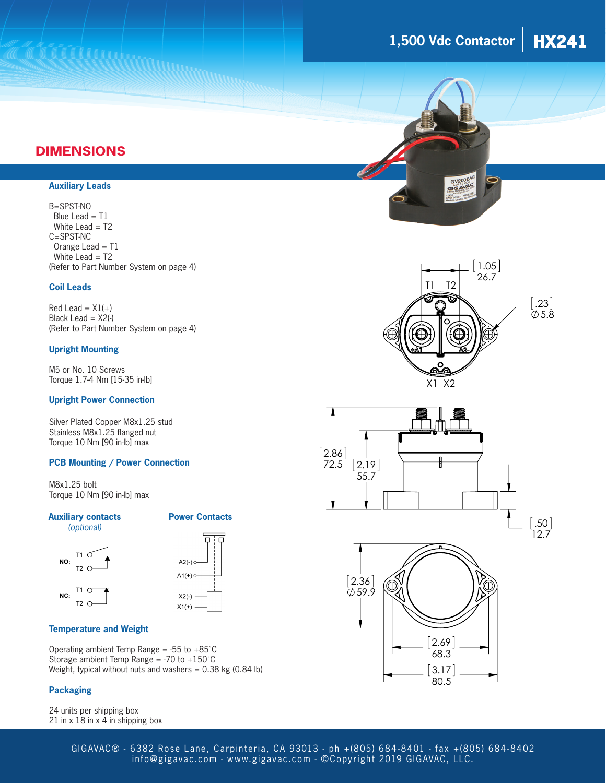# **1,500 Vdc Contactor HX241**

### **DIMENSIONS**

#### **Auxiliary Leads**

#### B=SPST-NO

 Blue Lead = T1 White Lead = T2 C=SPST-NC Orange Lead = T1 White Lead = T2 (Refer to Part Number System on page 4)

#### **Coil Leads**

 $Red$  Lead =  $X1(+)$ Black Lead  $= X2(-)$ (Refer to Part Number System on page 4)

#### **Upright Mounting**

M5 or No. 10 Screws Torque 1.7-4 Nm [15-35 in-lb]

#### **Upright Power Connection**

Silver Plated Copper M8x1.25 stud Stainless M8x1.25 flanged nut Torque 10 Nm [90 in-lb] max

#### **PCB Mounting / Power Connection**

M8x1.25 bolt Torque 10 Nm [90 in-lb] max

#### **Power Contacts**



**Auxiliary contacts** 



#### **Temperature and Weight**

Operating ambient Temp Range =  $-55$  to  $+85^{\circ}$ C Storage ambient Temp Range = -70 to +150˚C Weight, typical without nuts and washers  $= 0.38$  kg (0.84 lb)

#### **Packaging**

24 units per shipping box 21 in x 18 in x 4 in shipping box









GIGAVAC® - 6382 Rose Lane, Carpinteria, CA 93013 - ph +(805) 684-8401 - fax +(805) 684-8402 [info@gigavac.com](mailto:info%40gigavac.com?subject=) - [www.gigavac.com](http://www.gigavac.com) - ©Copyright 2019 GIGAVAC, LLC.